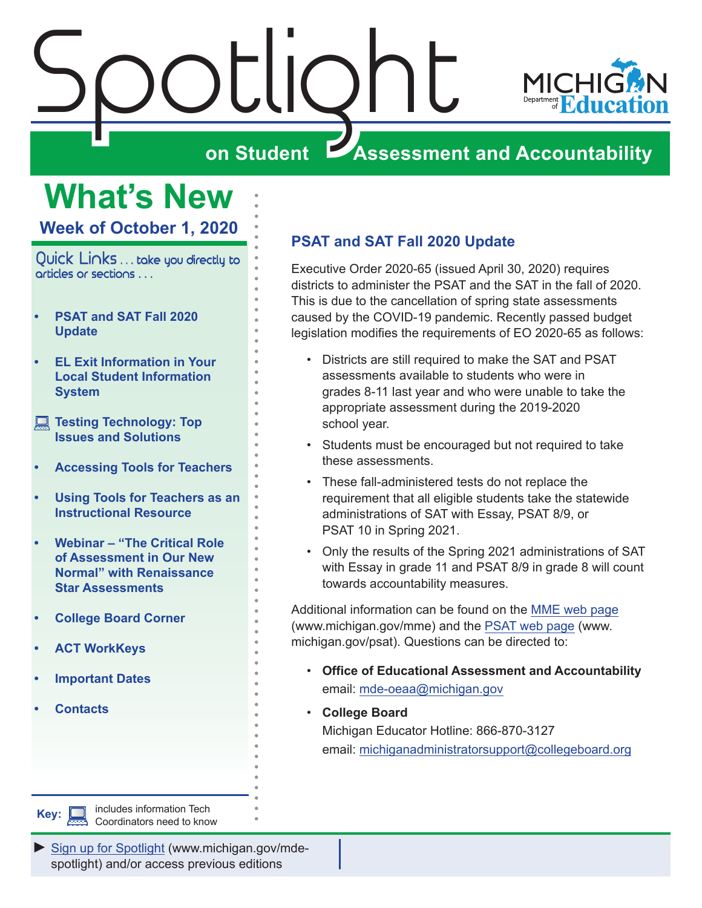<span id="page-0-0"></span>



## **on Student Assessment and Accountability**

## **What's New Week of October 1, 2020**

Quick Links . . . take you directly to articles or sections . . .

- **• PSAT and SAT Fall 2020 Update**
- **• [EL Exit Information in Your](#page-1-0)  [Local Student Information](#page-1-0)  [System](#page-1-0)**
- **Testing Technology: Top [Issues and Solutions](#page-1-0)**
- **• [Accessing Tools for Teachers](#page-2-0)**
- **• [Using Tools for Teachers as an](#page-2-0)  [Instructional Resource](#page-2-0)**
- **• [Webinar "The Critical Role](#page-3-0)  [of Assessment in Our New](#page-3-0)  [Normal" with Renaissance](#page-3-0)  [Star Assessments](#page-3-0)**
- **• [College Board Corner](#page-4-0)**
- **• [ACT WorkKeys](#page-6-0)**
- **• [Important Dates](#page-7-0)**
- **• [Contacts](#page-8-0)**

## **PSAT and SAT Fall 2020 Update**

Executive Order 2020-65 (issued April 30, 2020) requires districts to administer the PSAT and the SAT in the fall of 2020. This is due to the cancellation of spring state assessments caused by the COVID-19 pandemic. Recently passed budget legislation modifies the requirements of EO 2020-65 as follows:

- Districts are still required to make the SAT and PSAT assessments available to students who were in grades 8-11 last year and who were unable to take the appropriate assessment during the 2019-2020 school year.
- Students must be encouraged but not required to take these assessments.
- These fall-administered tests do not replace the requirement that all eligible students take the statewide administrations of SAT with Essay, PSAT 8/9, or PSAT 10 in Spring 2021.
- Only the results of the Spring 2021 administrations of SAT with Essay in grade 11 and PSAT 8/9 in grade 8 will count towards accountability measures.

Additional information can be found on the [MME web page](www.michigan.gov/mme) (www.michigan.gov/mme) and the [PSAT web page](http://www.michigan.gov/psat) (www. michigan.gov/psat). Questions can be directed to:

- **Office of Educational Assessment and Accountability**  email: [mde-oeaa@michigan.gov](mailto:mde-oeaa%40michigan.gov?subject=)
- **College Board**  Michigan Educator Hotline: 866-870-3127 email: [michiganadministratorsupport@collegeboard.org](mailto:michiganadministratorsupport%40collegeboard.org?subject=)

*►* [Sign up for Spotlight](https://public.govdelivery.com/accounts/MIMDE/subscriber/new) [\(www.michigan.gov/mde](www.michigan.gov/mde-spotlight)spotlight) and/or access previous editions

**Key: includes information Tech** Coordinators need to know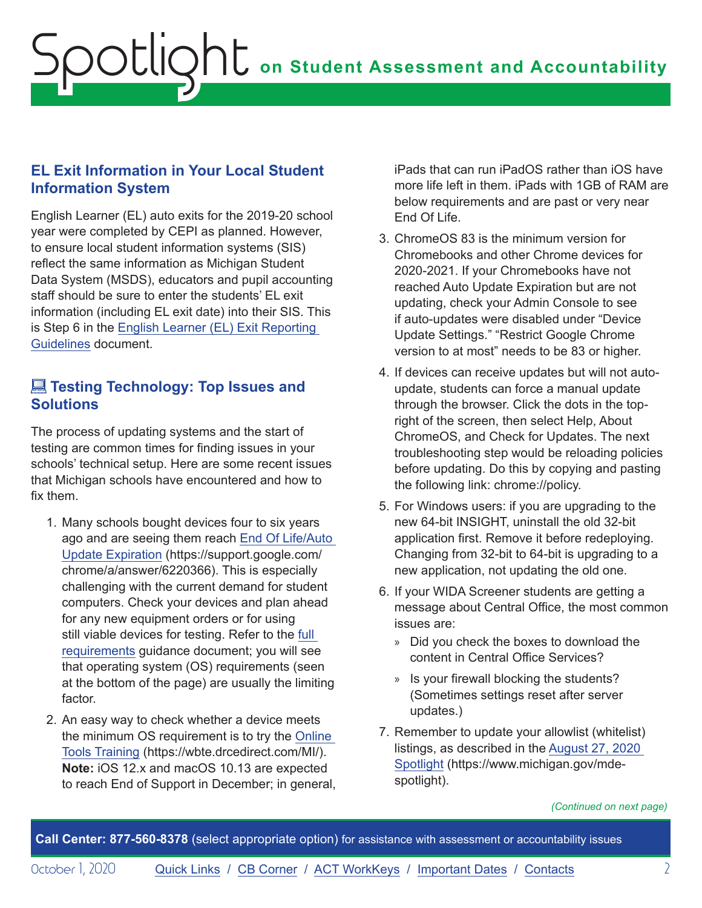## <span id="page-1-0"></span>**EL Exit Information in Your Local Student Information System**

English Learner (EL) auto exits for the 2019-20 school year were completed by CEPI as planned. However, to ensure local student information systems (SIS) reflect the same information as Michigan Student Data System (MSDS), educators and pupil accounting staff should be sure to enter the students' EL exit information (including EL exit date) into their SIS. This is Step 6 in the [English Learner \(EL\) Exit Reporting](https://www.michigan.gov/documents/mde/19-20_EL_Exit_Reporting_Guidelines_692735_7.pdf)  [Guidelines](https://www.michigan.gov/documents/mde/19-20_EL_Exit_Reporting_Guidelines_692735_7.pdf) document.

## **External Technology: Top Issues and Solutions**

The process of updating systems and the start of testing are common times for finding issues in your schools' technical setup. Here are some recent issues that Michigan schools have encountered and how to fix them.

- 1. Many schools bought devices four to six years ago and are seeing them reach [End Of Life/Auto](https://support.google.com/chrome/a/answer/6220366)  [Update Expiration](https://support.google.com/chrome/a/answer/6220366) (https://support.google.com/ chrome/a/answer/6220366). This is especially challenging with the current demand for student computers. Check your devices and plan ahead for any new equipment orders or for using still viable devices for testing. Refer to the [full](https://cdn-download-prod.drcedirect.com/all/download/resources/requirements/drc-insight-system-requirements.htm)  [requirements](https://cdn-download-prod.drcedirect.com/all/download/resources/requirements/drc-insight-system-requirements.htm) guidance document; you will see that operating system (OS) requirements (seen at the bottom of the page) are usually the limiting factor.
- 2. An easy way to check whether a device meets the minimum OS requirement is to try the [Online](https://wbte.drcedirect.com/MI/)  [Tools Training](https://wbte.drcedirect.com/MI/) (https://wbte.drcedirect.com/MI/). **Note:** iOS 12.x and macOS 10.13 are expected to reach End of Support in December; in general,

iPads that can run iPadOS rather than iOS have more life left in them. iPads with 1GB of RAM are below requirements and are past or very near End Of Life.

- 3. ChromeOS 83 is the minimum version for Chromebooks and other Chrome devices for 2020-2021. If your Chromebooks have not reached Auto Update Expiration but are not updating, check your Admin Console to see if auto-updates were disabled under "Device Update Settings." "Restrict Google Chrome version to at most" needs to be 83 or higher.
- 4. If devices can receive updates but will not autoupdate, students can force a manual update through the browser. Click the dots in the topright of the screen, then select Help, About ChromeOS, and Check for Updates. The next troubleshooting step would be reloading policies before updating. Do this by copying and pasting the following link: chrome://policy.
- 5. For Windows users: if you are upgrading to the new 64-bit INSIGHT, uninstall the old 32-bit application first. Remove it before redeploying. Changing from 32-bit to 64-bit is upgrading to a new application, not updating the old one.
- 6. If your WIDA Screener students are getting a message about Central Office, the most common issues are:
	- » Did you check the boxes to download the content in Central Office Services?
	- » Is your firewall blocking the students? (Sometimes settings reset after server updates.)
- 7. Remember to update your allowlist (whitelist) listings, as described in the [August 27, 2020](https://www.michigan.gov/documents/mde/Spotlight_8-27-20_700678_7.pdf)  [Spotlight](https://www.michigan.gov/documents/mde/Spotlight_8-27-20_700678_7.pdf) (https://www.michigan.gov/mdespotlight).

*(Continued on next page)*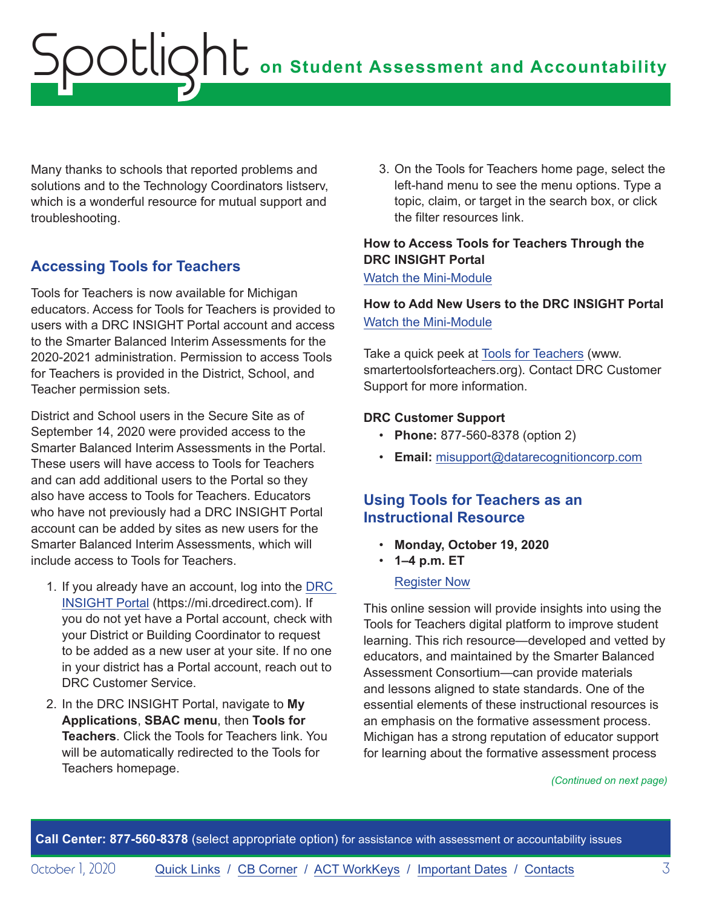<span id="page-2-0"></span>Many thanks to schools that reported problems and solutions and to the Technology Coordinators listserv, which is a wonderful resource for mutual support and troubleshooting.

## **Accessing Tools for Teachers**

Tools for Teachers is now available for Michigan educators. Access for Tools for Teachers is provided to users with a DRC INSIGHT Portal account and access to the Smarter Balanced Interim Assessments for the 2020-2021 administration. Permission to access Tools for Teachers is provided in the District, School, and Teacher permission sets.

District and School users in the Secure Site as of September 14, 2020 were provided access to the Smarter Balanced Interim Assessments in the Portal. These users will have access to Tools for Teachers and can add additional users to the Portal so they also have access to Tools for Teachers. Educators who have not previously had a DRC INSIGHT Portal account can be added by sites as new users for the Smarter Balanced Interim Assessments, which will include access to Tools for Teachers.

- 1. If you already have an account, log into the [DRC](https://mi.drcedirect.com)  [INSIGHT Portal](https://mi.drcedirect.com) (https://mi.drcedirect.com). If you do not yet have a Portal account, check with your District or Building Coordinator to request to be added as a new user at your site. If no one in your district has a Portal account, reach out to DRC Customer Service.
- 2. In the DRC INSIGHT Portal, navigate to **My Applications**, **SBAC menu**, then **Tools for Teachers**. Click the Tools for Teachers link. You will be automatically redirected to the Tools for Teachers homepage.

3. On the Tools for Teachers home page, select the left-hand menu to see the menu options. Type a topic, claim, or target in the search box, or click the filter resources link.

### **How to Access Tools for Teachers Through the DRC INSIGHT Portal**

[Watch the Mini-Module](https://drive.google.com/file/d/1R3tNsxYwBZE9vszGgWftY_hY_TSqpAQu/view?usp=sharing)

## **How to Add New Users to the DRC INSIGHT Portal**  [Watch the Mini-Module](https://drive.google.com/file/d/1-_SwM_fgf2rXPC9MItDdXguxkiJzYPX8/view?usp=sharing)

Take a quick peek at [Tools for Teachers](http://www.smartertoolsforteachers.org) (www. smartertoolsforteachers.org). Contact DRC Customer Support for more information.

### **DRC Customer Support**

- **Phone:** 877-560-8378 (option 2)
- **Email:** [misupport@datarecognitioncorp.com](mailto:misupport%40datarecognitioncorp.com?subject=)

## **Using Tools for Teachers as an Instructional Resource**

- **Monday, October 19, 2020**
- **1–4 p.m. ET**

### [Register Now](https://www.michiganassessmentconsortium.org/event/using-tools-for-teachers-as-an-instructional-resource/)

This online session will provide insights into using the Tools for Teachers digital platform to improve student learning. This rich resource—developed and vetted by educators, and maintained by the Smarter Balanced Assessment Consortium—can provide materials and lessons aligned to state standards. One of the essential elements of these instructional resources is an emphasis on the formative assessment process. Michigan has a strong reputation of educator support for learning about the formative assessment process

#### *(Continued on next page)*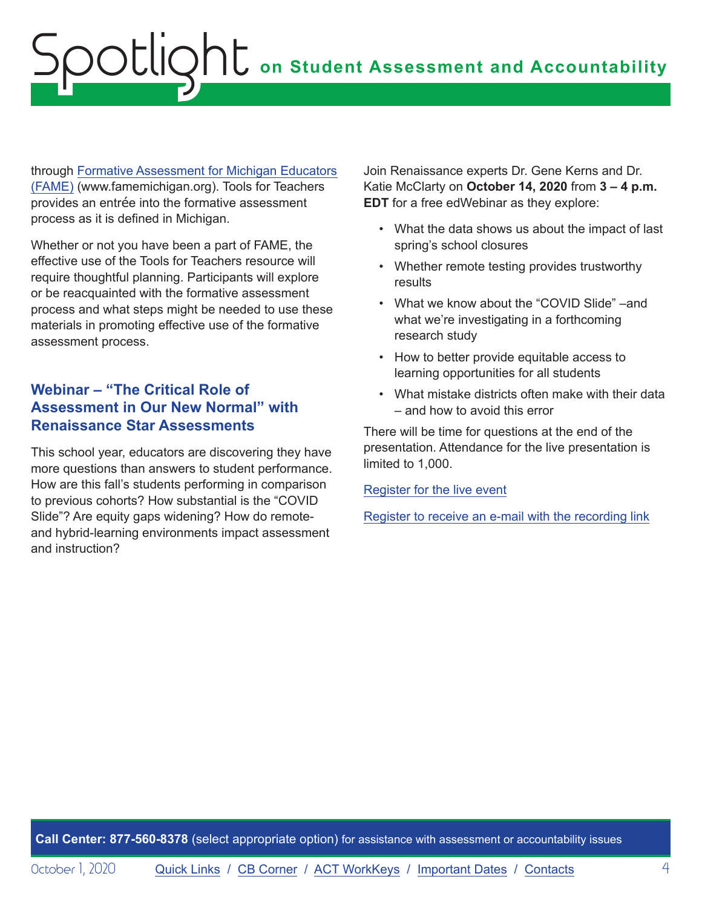<span id="page-3-0"></span>through [Formative Assessment for Michigan Educators](http://www.FAMEMichigan.org)  [\(FAME\)](http://www.FAMEMichigan.org) (www.famemichigan.org). Tools for Teachers provides an entrée into the formative assessment process as it is defined in Michigan.

Whether or not you have been a part of FAME, the effective use of the Tools for Teachers resource will require thoughtful planning. Participants will explore or be reacquainted with the formative assessment process and what steps might be needed to use these materials in promoting effective use of the formative assessment process.

## **Webinar – "The Critical Role of Assessment in Our New Normal" with Renaissance Star Assessments**

This school year, educators are discovering they have more questions than answers to student performance. How are this fall's students performing in comparison to previous cohorts? How substantial is the "COVID Slide"? Are equity gaps widening? How do remoteand hybrid-learning environments impact assessment and instruction?

Join Renaissance experts Dr. Gene Kerns and Dr. Katie McClarty on **October 14, 2020** from **3 – 4 p.m. EDT** for a free edWebinar as they explore:

- What the data shows us about the impact of last spring's school closures
- Whether remote testing provides trustworthy results
- What we know about the "COVID Slide" –and what we're investigating in a forthcoming research study
- How to better provide equitable access to learning opportunities for all students
- What mistake districts often make with their data – and how to avoid this error

There will be time for questions at the end of the presentation. Attendance for the live presentation is limited to 1,000.

[Register for the live event](https://www.anymeeting.com/AccountManager/RegEv.aspx?PIID=EF54D887874A39)

[Register to receive an e-mail with the recording link](https://home.edweb.net/webinar/assessment20201014/#recording_34609)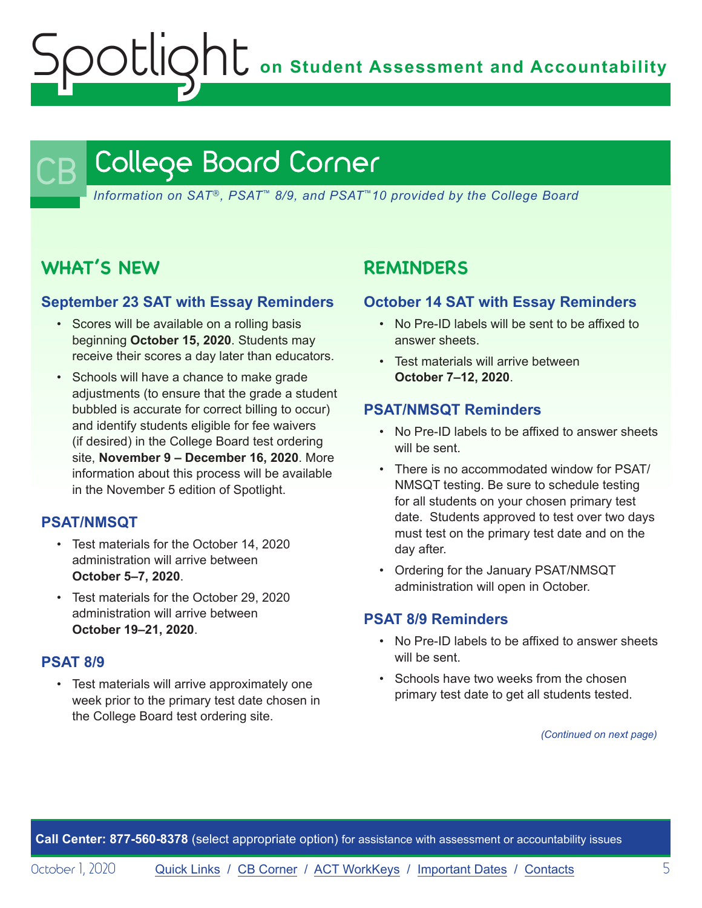**on Student Assessment and Accountability**

## <span id="page-4-1"></span>College Board Corner

*Information on SAT*®*, PSAT*™ *8/9, and PSAT*™*10 provided by the College Board*

## **WHAT'S NEW**

<span id="page-4-0"></span>Spotlight

### **September 23 SAT with Essay Reminders**

- Scores will be available on a rolling basis beginning **October 15, 2020**. Students may receive their scores a day later than educators.
- Schools will have a chance to make grade adjustments (to ensure that the grade a student bubbled is accurate for correct billing to occur) and identify students eligible for fee waivers (if desired) in the College Board test ordering site, **November 9 – December 16, 2020**. More information about this process will be available in the November 5 edition of Spotlight.

## **PSAT/NMSQT**

- Test materials for the October 14, 2020 administration will arrive between **October 5–7, 2020**.
- Test materials for the October 29, 2020 administration will arrive between **October 19–21, 2020**.

### **PSAT 8/9**

• Test materials will arrive approximately one week prior to the primary test date chosen in the College Board test ordering site.

## **REMINDERS**

### **October 14 SAT with Essay Reminders**

- No Pre-ID labels will be sent to be affixed to answer sheets.
- Test materials will arrive between **October 7–12, 2020**.

### **PSAT/NMSQT Reminders**

- No Pre-ID labels to be affixed to answer sheets will be sent.
- There is no accommodated window for PSAT/ NMSQT testing. Be sure to schedule testing for all students on your chosen primary test date. Students approved to test over two days must test on the primary test date and on the day after.
- Ordering for the January PSAT/NMSQT administration will open in October.

## **PSAT 8/9 Reminders**

- No Pre-ID labels to be affixed to answer sheets will be sent.
- Schools have two weeks from the chosen primary test date to get all students tested.

*(Continued on next page)*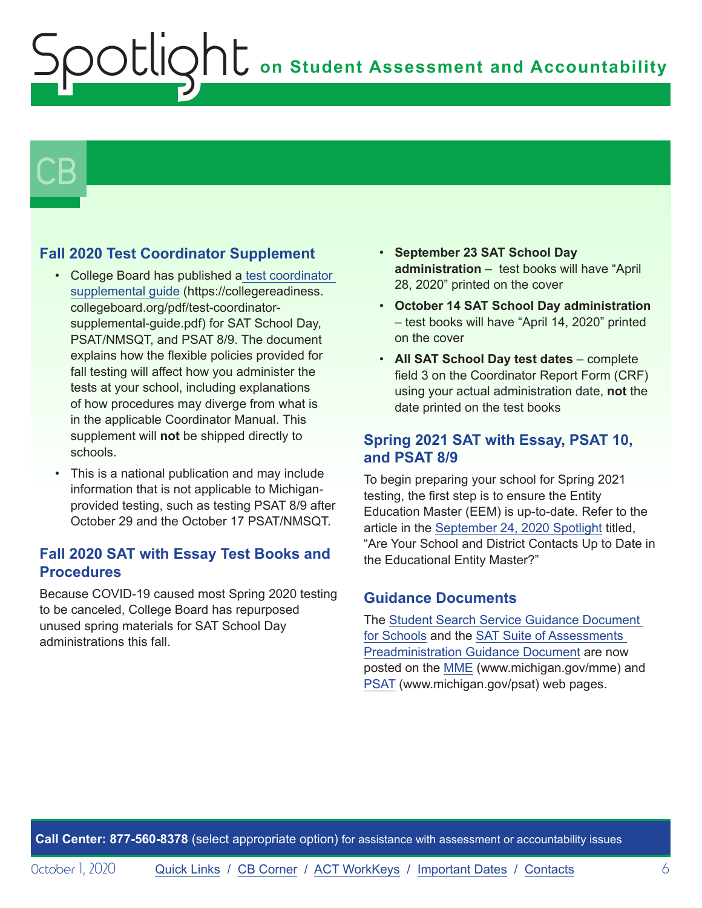# $\mathsf{CB}\mid$

## **Fall 2020 Test Coordinator Supplement**

- College Board has published [a test coordinator](https://collegereadiness.collegeboard.org/pdf/test-coordinator-supplemental-guide.pdf)  [supplemental guide](https://collegereadiness.collegeboard.org/pdf/test-coordinator-supplemental-guide.pdf) (https://collegereadiness. collegeboard.org/pdf/test-coordinatorsupplemental-guide.pdf) for SAT School Day, PSAT/NMSQT, and PSAT 8/9. The document explains how the flexible policies provided for fall testing will affect how you administer the tests at your school, including explanations of how procedures may diverge from what is in the applicable Coordinator Manual. This supplement will **not** be shipped directly to schools.
- This is a national publication and may include information that is not applicable to Michiganprovided testing, such as testing PSAT 8/9 after October 29 and the October 17 PSAT/NMSQT.

## **Fall 2020 SAT with Essay Test Books and Procedures**

Because COVID-19 caused most Spring 2020 testing to be canceled, College Board has repurposed unused spring materials for SAT School Day administrations this fall.

- **September 23 SAT School Day administration** – test books will have "April 28, 2020" printed on the cover
- **October 14 SAT School Day administration** – test books will have "April 14, 2020" printed on the cover
- **All SAT School Day test dates** complete field 3 on the Coordinator Report Form (CRF) using your actual administration date, **not** the date printed on the test books

## **Spring 2021 SAT with Essay, PSAT 10, and PSAT 8/9**

To begin preparing your school for Spring 2021 testing, the first step is to ensure the Entity Education Master (EEM) is up-to-date. Refer to the article in the [September 24, 2020 Spotlight](https://www.michigan.gov/documents/mde/Spotlight_9-24-20_703294_7.pdf) titled, "Are Your School and District Contacts Up to Date in the Educational Entity Master?"

## **Guidance Documents**

The [Student Search Service Guidance Document](https://www.michigan.gov/documents/mde/Student_Search_Service_Guidance_Document_694980_7.pdf)  [for Schools](https://www.michigan.gov/documents/mde/Student_Search_Service_Guidance_Document_694980_7.pdf) and the [SAT Suite of Assessments](https://www.michigan.gov/documents/mde/SAT_Preadministration_Guidance_Document_703169_7.pdf)  [Preadministration Guidance Document](https://www.michigan.gov/documents/mde/SAT_Preadministration_Guidance_Document_703169_7.pdf) are now posted on the [MME](www.michigan.gov/mme) (www.michigan.gov/mme) and [PSAT](http://www.michigan.gov/psat) (www.michigan.gov/psat) web pages.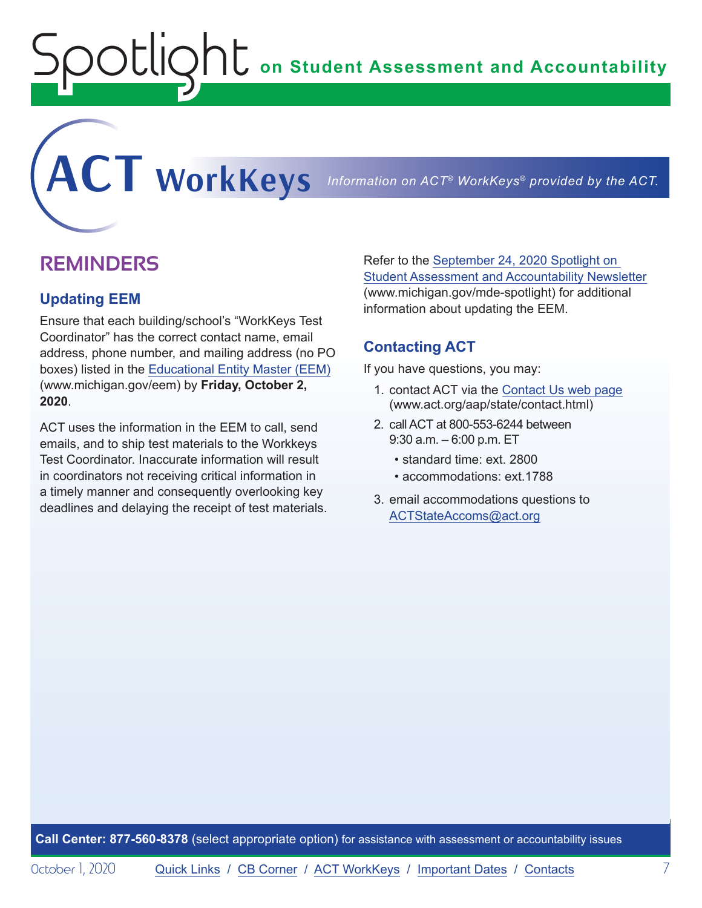**on Student Assessment and Accountability**

## **REMINDERS**

<span id="page-6-0"></span>Spotlight

#### **Updating EEM**

Ensure that each building/school's "WorkKeys Test Coordinator" has the correct contact name, email address, phone number, and mailing address (no PO boxes) listed in the [Educational Entity Master \(EEM\)](www.michigan.gov/EEM) (www.michigan.gov/eem) by **Friday, October 2, 2020**.

ACT uses the information in the EEM to call, send emails, and to ship test materials to the Workkeys Test Coordinator. Inaccurate information will result in coordinators not receiving critical information in a timely manner and consequently overlooking key deadlines and delaying the receipt of test materials. Refer to the [September 24, 2020 Spotlight on](https://www.michigan.gov/documents/mde/Spotlight_9-24-20_703294_7.pdf)  [Student Assessment and Accountability Newsletter](https://www.michigan.gov/documents/mde/Spotlight_9-24-20_703294_7.pdf) (www.michigan.gov/mde-spotlight) for additional information about updating the EEM.

### **Contacting ACT**

<span id="page-6-1"></span>**ACT WorkKeys** *Information on ACT® WorkKeys® provided by the ACT.*

If you have questions, you may:

- 1. contact ACT via the [Contact Us web page](http://www.act.org/aap/state/contact.html) [\(www.act.org/aap/state/contact.html\)](https://www.act.org/aap/state/contact.html)
- 2. call ACT at 800-553-6244 between 9:30 a.m. – 6:00 p.m. ET
	- standard time: ext. 2800
	- accommodations: ext.1788
- 3. email accommodations questions to [ACTStateAccoms@act.org](mailto:ACTStateAccoms%40act.org?subject=)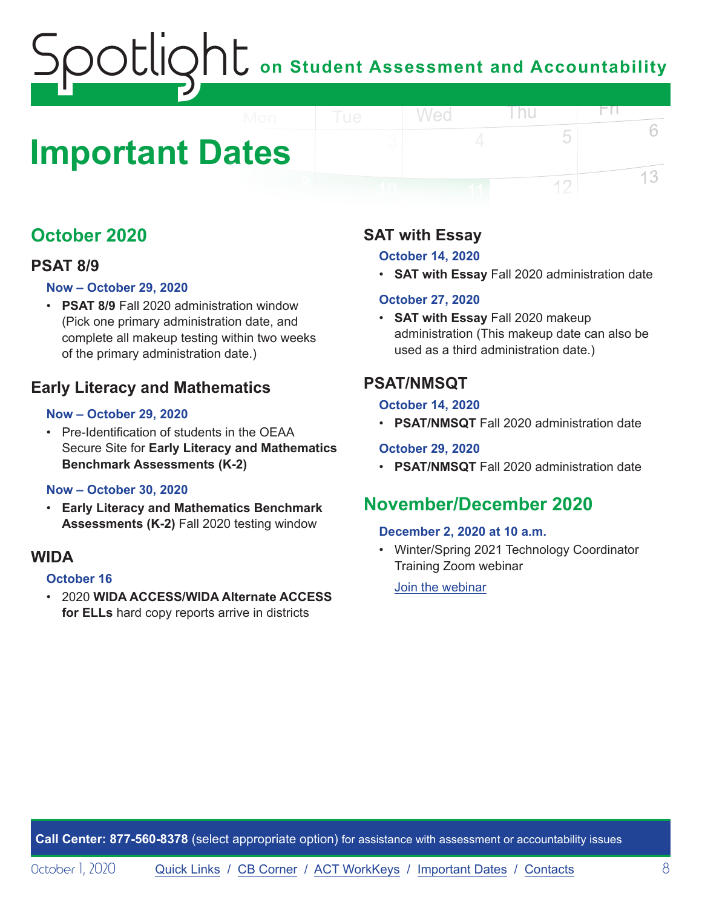## <span id="page-7-1"></span><span id="page-7-0"></span>**Important Dates**

## **October 2020**

## **PSAT 8/9**

#### **Now – October 29, 2020**

• **PSAT 8/9** Fall 2020 administration window (Pick one primary administration date, and complete all makeup testing within two weeks of the primary administration date.)

## **Early Literacy and Mathematics**

#### **Now – October 29, 2020**

• Pre-Identification of students in the OEAA Secure Site for **Early Literacy and Mathematics Benchmark Assessments (K-2)**

#### **Now – October 30, 2020**

• **Early Literacy and Mathematics Benchmark Assessments (K-2)** Fall 2020 testing window

## **WIDA**

#### **October 16**

• 2020 **WIDA ACCESS/WIDA Alternate ACCESS for ELLs** hard copy reports arrive in districts

## **SAT with Essay**

#### **October 14, 2020**

Wed

• **SAT with Essay** Fall 2020 administration date

l nu

ĦП

5

12

6

13

#### **October 27, 2020**

• **SAT with Essay** Fall 2020 makeup administration (This makeup date can also be used as a third administration date.)

## **PSAT/NMSQT**

#### **October 14, 2020**

• **PSAT/NMSQT** Fall 2020 administration date

### **October 29, 2020**

• **PSAT/NMSQT** Fall 2020 administration date

## **November/December 2020**

### **December 2, 2020 at 10 a.m.**

• Winter/Spring 2021 Technology Coordinator Training Zoom webinar

[Join the webinar](https://datarecognitioncorp.zoom.us/j/99441419689)